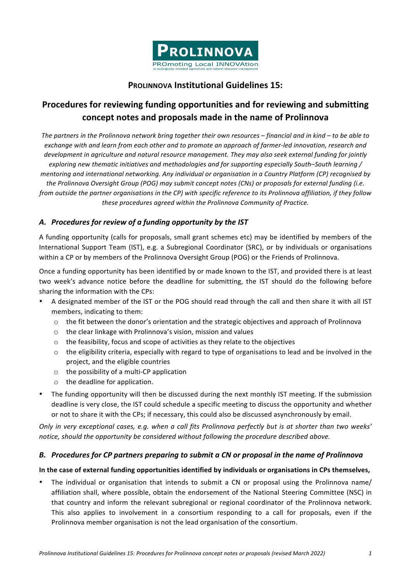

## **PROLINNOVA Institutional Guidelines 15:**

# **Procedures for reviewing funding opportunities and for reviewing and submitting concept notes and proposals made in the name of Prolinnova**

The partners in the Prolinnova network bring together their own resources – financial and in kind – to be able to *exchange* with and learn from each other and to promote an approach of farmer-led innovation, research and development in agriculture and natural resource management. They may also seek external funding for jointly *exploring new thematic initiatives and methodologies and for supporting especially South–South learning* / *mentoring and international networking. Any individual or organisation in a Country Platform (CP) recognised by the* Prolinnova Oversight Group (POG) may submit concept notes (CNs) or proposals for external funding (i.e. *from* outside the partner organisations in the CP) with specific reference to its Prolinnova affiliation, if they follow these procedures agreed within the Prolinnova Community of Practice.

## A. Procedures for review of a funding opportunity by the IST

A funding opportunity (calls for proposals, small grant schemes etc) may be identified by members of the International Support Team (IST), e.g. a Subregional Coordinator (SRC), or by individuals or organisations within a CP or by members of the Prolinnova Oversight Group (POG) or the Friends of Prolinnova.

Once a funding opportunity has been identified by or made known to the IST, and provided there is at least two week's advance notice before the deadline for submitting, the IST should do the following before sharing the information with the CPs:

- A designated member of the IST or the POG should read through the call and then share it with all IST members, indicating to them:
	- $\circ$  the fit between the donor's orientation and the strategic objectives and approach of Prolinnova
	- $\circ$  the clear linkage with Prolinnova's vision, mission and values
	- $\circ$  the feasibility, focus and scope of activities as they relate to the objectives
	- $\circ$  the eligibility criteria, especially with regard to type of organisations to lead and be involved in the project, and the eligible countries
	- $\circ$  the possibility of a multi-CP application
	- $\circ$  the deadline for application.
- The funding opportunity will then be discussed during the next monthly IST meeting. If the submission deadline is very close, the IST could schedule a specific meeting to discuss the opportunity and whether or not to share it with the CPs; if necessary, this could also be discussed asynchronously by email.

*Only in very exceptional cases, e.g. when a call fits Prolinnova perfectly but is at shorter than two weeks'* notice, should the opportunity be considered without following the procedure described above.

## **B.** Procedures for CP partners preparing to submit a CN or proposal in the name of Prolinnova

#### In the case of external funding opportunities identified by individuals or organisations in CPs themselves,

• The individual or organisation that intends to submit a CN or proposal using the Prolinnova name/ affiliation shall, where possible, obtain the endorsement of the National Steering Committee (NSC) in that country and inform the relevant subregional or regional coordinator of the Prolinnova network. This also applies to involvement in a consortium responding to a call for proposals, even if the Prolinnova member organisation is not the lead organisation of the consortium.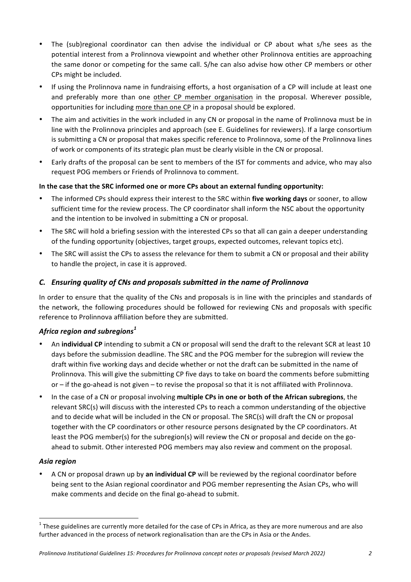- The (sub)regional coordinator can then advise the individual or CP about what s/he sees as the potential interest from a Prolinnova viewpoint and whether other Prolinnova entities are approaching the same donor or competing for the same call. S/he can also advise how other CP members or other CPs might be included.
- If using the Prolinnova name in fundraising efforts, a host organisation of a CP will include at least one and preferably more than one other CP member organisation in the proposal. Wherever possible, opportunities for including more than one CP in a proposal should be explored.
- The aim and activities in the work included in any CN or proposal in the name of Prolinnova must be in line with the Prolinnova principles and approach (see E. Guidelines for reviewers). If a large consortium is submitting a CN or proposal that makes specific reference to Prolinnova, some of the Prolinnova lines of work or components of its strategic plan must be clearly visible in the CN or proposal.
- Early drafts of the proposal can be sent to members of the IST for comments and advice, who may also request POG members or Friends of Prolinnova to comment.

#### In the case that the SRC informed one or more CPs about an external funding opportunity:

- The informed CPs should express their interest to the SRC within five working days or sooner, to allow sufficient time for the review process. The CP coordinator shall inform the NSC about the opportunity and the intention to be involved in submitting a CN or proposal.
- The SRC will hold a briefing session with the interested CPs so that all can gain a deeper understanding of the funding opportunity (objectives, target groups, expected outcomes, relevant topics etc).
- The SRC will assist the CPs to assess the relevance for them to submit a CN or proposal and their ability to handle the project, in case it is approved.

## *C.* Ensuring quality of CNs and proposals submitted in the name of Prolinnova

In order to ensure that the quality of the CNs and proposals is in line with the principles and standards of the network, the following procedures should be followed for reviewing CNs and proposals with specific reference to Prolinnova affiliation before they are submitted.

## *Africa region and subregions<sup>1</sup>*

- An **individual CP** intending to submit a CN or proposal will send the draft to the relevant SCR at least 10 days before the submission deadline. The SRC and the POG member for the subregion will review the draft within five working days and decide whether or not the draft can be submitted in the name of Prolinnova. This will give the submitting CP five days to take on board the comments before submitting or – if the go-ahead is not given – to revise the proposal so that it is not affiliated with Prolinnova.
- In the case of a CN or proposal involving multiple CPs in one or both of the African subregions, the relevant SRC(s) will discuss with the interested CPs to reach a common understanding of the objective and to decide what will be included in the CN or proposal. The SRC(s) will draft the CN or proposal together with the CP coordinators or other resource persons designated by the CP coordinators. At least the POG member(s) for the subregion(s) will review the CN or proposal and decide on the goahead to submit. Other interested POG members may also review and comment on the proposal.

## *Asia region*

A CN or proposal drawn up by **an individual CP** will be reviewed by the regional coordinator before being sent to the Asian regional coordinator and POG member representing the Asian CPs, who will make comments and decide on the final go-ahead to submit.

 $1$  These guidelines are currently more detailed for the case of CPs in Africa, as they are more numerous and are also further advanced in the process of network regionalisation than are the CPs in Asia or the Andes.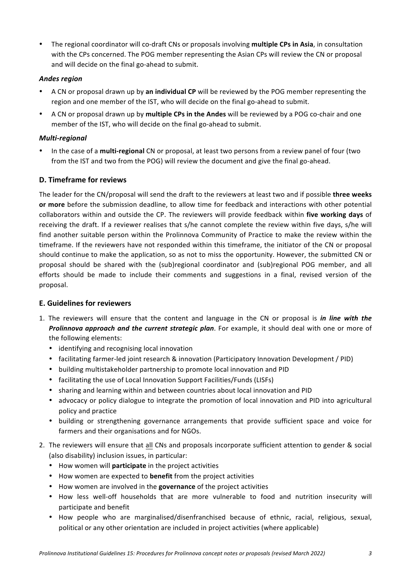• The regional coordinator will co-draft CNs or proposals involving multiple CPs in Asia, in consultation with the CPs concerned. The POG member representing the Asian CPs will review the CN or proposal and will decide on the final go-ahead to submit.

#### *Andes region*

- A CN or proposal drawn up by an individual CP will be reviewed by the POG member representing the region and one member of the IST, who will decide on the final go-ahead to submit.
- A CN or proposal drawn up by **multiple CPs in the Andes** will be reviewed by a POG co-chair and one member of the IST, who will decide on the final go-ahead to submit.

#### *Multi-regional*

In the case of a **multi-regional** CN or proposal, at least two persons from a review panel of four (two from the IST and two from the POG) will review the document and give the final go-ahead.

#### **D. Timeframe for reviews**

The leader for the CN/proposal will send the draft to the reviewers at least two and if possible **three weeks** or more before the submission deadline, to allow time for feedback and interactions with other potential collaborators within and outside the CP. The reviewers will provide feedback within five working days of receiving the draft. If a reviewer realises that s/he cannot complete the review within five days, s/he will find another suitable person within the Prolinnova Community of Practice to make the review within the timeframe. If the reviewers have not responded within this timeframe, the initiator of the CN or proposal should continue to make the application, so as not to miss the opportunity. However, the submitted CN or proposal should be shared with the (sub)regional coordinator and (sub)regional POG member, and all efforts should be made to include their comments and suggestions in a final, revised version of the proposal.

#### **E. Guidelines for reviewers**

- 1. The reviewers will ensure that the content and language in the CN or proposal is *in line with the* **Prolinnova approach and the current strategic plan**. For example, it should deal with one or more of the following elements:
	- identifying and recognising local innovation
	- facilitating farmer-led joint research & innovation (Participatory Innovation Development / PID)
	- building multistakeholder partnership to promote local innovation and PID
	- facilitating the use of Local Innovation Support Facilities/Funds (LISFs)
	- sharing and learning within and between countries about local innovation and PID
	- advocacy or policy dialogue to integrate the promotion of local innovation and PID into agricultural policy and practice
	- building or strengthening governance arrangements that provide sufficient space and voice for farmers and their organisations and for NGOs.
- 2. The reviewers will ensure that all CNs and proposals incorporate sufficient attention to gender & social (also disability) inclusion issues, in particular:
	- How women will **participate** in the project activities
	- How women are expected to **benefit** from the project activities
	- How women are involved in the governance of the project activities
	- How less well-off households that are more vulnerable to food and nutrition insecurity will participate and benefit
	- How people who are marginalised/disenfranchised because of ethnic, racial, religious, sexual, political or any other orientation are included in project activities (where applicable)